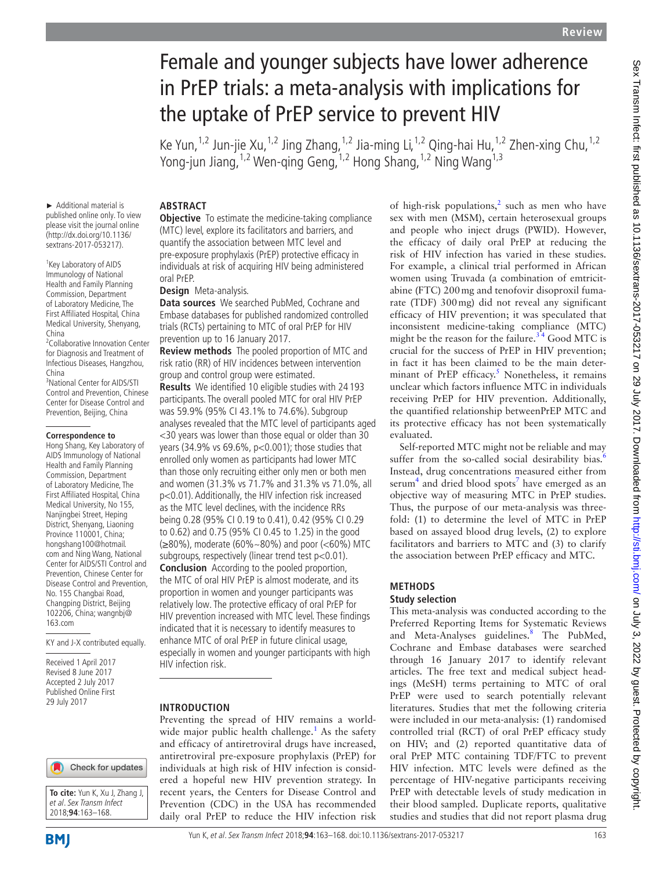# Female and younger subjects have lower adherence in PrEP trials: a meta-analysis with implications for the uptake of PrEP service to prevent HIV

Ke Yun,<sup>1,2</sup> Jun-jie Xu,<sup>1,2</sup> Jing Zhang,<sup>1,2</sup> Jia-ming Li,<sup>1,2</sup> Qing-hai Hu,<sup>1,2</sup> Zhen-xing Chu,<sup>1,2</sup> Yong-jun Jiang,<sup>1,2</sup> Wen-qing Geng,<sup>1,2</sup> Hong Shang,<sup>1,2</sup> Ning Wang<sup>1,3</sup>

► Additional material is published online only. To view please visit the journal online (http://dx.doi.org/10.1136/ sextrans-2017-053217).

<sup>1</sup> Key Laboratory of AIDS Immunology of National Health and Family Planning Commission, Department of Laboratory Medicine, The First Affiliated Hospital, China Medical University, Shenyang, China

<sup>2</sup>Collaborative Innovation Center for Diagnosis and Treatment of Infectious Diseases, Hangzhou, China

3 National Center for AIDS/STI Control and Prevention, Chinese Center for Disease Control and Prevention, Beijing, China

#### **Correspondence to**

Hong Shang, Key Laboratory of AIDS Immunology of National Health and Family Planning Commission, Department of Laboratory Medicine, The First Affiliated Hospital, China Medical University, No 155, Nanjingbei Street, Heping District, Shenyang, Liaoning Province 110001, China; hongshang100@hotmail. com and Ning Wang, National Center for AIDS/STI Control and Prevention, Chinese Center for Disease Control and Prevention, No. 155 Changbai Road, Changping District, Beijing 102206, China; wangnbj@ 163.com

KY and J-X contributed equally.

Received 1 April 2017 Revised 8 June 2017 Accepted 2 July 2017 Published Online First 29 July 2017



**To cite:** Yun K, Xu J, Zhang J, et al. Sex Transm Infect 2018;**94**:163–168.

## **Abstract**

**Objective** To estimate the medicine-taking compliance (MTC) level, explore its facilitators and barriers, and quantify the association between MTC level and pre-exposure prophylaxis (PrEP) protective efficacy in individuals at risk of acquiring HIV being administered oral PrEP.

**Design** Meta-analysis.

**Data sources** We searched PubMed, Cochrane and Embase databases for published randomized controlled trials (RCTs) pertaining to MTC of oral PrEP for HIV prevention up to 16 January 2017.

**Review methods** The pooled proportion of MTC and risk ratio (RR) of HIV incidences between intervention group and control group were estimated.

**Results** We identified 10 eligible studies with 24 193 participants. The overall pooled MTC for oral HIV PrEP was 59.9% (95% CI 43.1% to 74.6%). Subgroup analyses revealed that the MTC level of participants aged <30 years was lower than those equal or older than 30 years (34.9% vs 69.6%, p<0.001); those studies that enrolled only women as participants had lower MTC than those only recruiting either only men or both men and women (31.3% vs 71.7% and 31.3% vs 71.0%, all p<0.01). Additionally, the HIV infection risk increased as the MTC level declines, with the incidence RRs being 0.28 (95% CI 0.19 to 0.41), 0.42 (95% CI 0.29 to 0.62) and 0.75 (95% CI 0.45 to 1.25) in the good (≥80%), moderate (60%~80%) and poor (<60%) MTC subgroups, respectively (linear trend test p<0.01).

**Conclusion** According to the pooled proportion, the MTC of oral HIV PrEP is almost moderate, and its proportion in women and younger participants was relatively low. The protective efficacy of oral PrEP for HIV prevention increased with MTC level. These findings indicated that it is necessary to identify measures to enhance MTC of oral PrEP in future clinical usage, especially in women and younger participants with high HIV infection risk.

#### **Introduction**

Preventing the spread of HIV remains a worldwide major public health challenge.<sup>1</sup> As the safety and efficacy of antiretroviral drugs have increased, antiretroviral pre-exposure prophylaxis (PrEP) for individuals at high risk of HIV infection is considered a hopeful new HIV prevention strategy. In recent years, the Centers for Disease Control and Prevention (CDC) in the USA has recommended daily oral PrEP to reduce the HIV infection risk

of high-risk populations,<sup>[2](#page-4-1)</sup> such as men who have sex with men (MSM), certain heterosexual groups and people who inject drugs (PWID). However, the efficacy of daily oral PrEP at reducing the risk of HIV infection has varied in these studies. For example, a clinical trial performed in African women using Truvada (a combination of emtricitabine (FTC) 200mg and tenofovir disoproxil fumarate (TDF) 300mg) did not reveal any significant efficacy of HIV prevention; it was speculated that inconsistent medicine-taking compliance (MTC) might be the reason for the failure.<sup>34</sup> Good MTC is crucial for the success of PrEP in HIV prevention; in fact it has been claimed to be the main deter-minant of PrEP efficacy.<sup>[5](#page-4-3)</sup> Nonetheless, it remains unclear which factors influence MTC in individuals receiving PrEP for HIV prevention. Additionally, the quantified relationship betweenPrEP MTC and its protective efficacy has not been systematically evaluated.

Self-reported MTC might not be reliable and may suffer from the so-called social desirability bias.<sup>[6](#page-4-4)</sup> Instead, drug concentrations measured either from  $\text{serum}^4$  $\text{serum}^4$  and dried blood spots<sup>[7](#page-4-6)</sup> have emerged as an objective way of measuring MTC in PrEP studies. Thus, the purpose of our meta-analysis was threefold: (1) to determine the level of MTC in PrEP based on assayed blood drug levels, (2) to explore facilitators and barriers to MTC and (3) to clarify the association between PrEP efficacy and MTC.

## **Methods**

#### **Study selection**

This meta-analysis was conducted according to the Preferred Reporting Items for Systematic Reviews and Meta-Analyses guidelines.<sup>8</sup> The PubMed, Cochrane and Embase databases were searched through 16 January 2017 to identify relevant articles. The free text and medical subject headings (MeSH) terms pertaining to MTC of oral PrEP were used to search potentially relevant literatures. Studies that met the following criteria were included in our meta-analysis: (1) randomised controlled trial (RCT) of oral PrEP efficacy study on HIV; and (2) reported quantitative data of oral PrEP MTC containing TDF/FTC to prevent HIV infection. MTC levels were defined as the percentage of HIV-negative participants receiving PrEP with detectable levels of study medication in their blood sampled. Duplicate reports, qualitative studies and studies that did not report plasma drug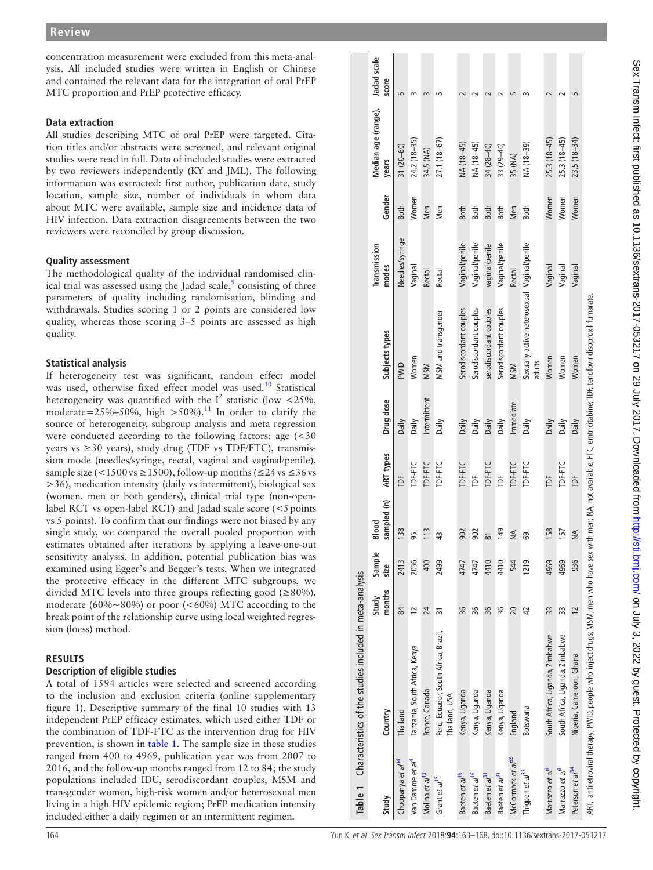#### **Data extraction**

## **Quality assessment**

# **Statistical analysis**

## **Results**

## <span id="page-1-0"></span>**Description of eligible studies**

| concentration measurement were excluded from this meta-anal-<br>Jadad scale<br>ysis. All included studies were written in English or Chinese<br>and contained the relevant data for the integration of oral PrEP<br>score<br>MTC proportion and PrEP protective efficacy.<br>$m \, m$<br>$m$ m<br>$\sim$<br>$\sim$<br>$\sim$<br>$\sim$<br>$\sqrt{2}$<br>$\sim$<br>$\overline{5}$<br>$\sim$<br>Median age (range),<br>Data extraction<br>All studies describing MTC of oral PrEP were targeted. Cita-<br>$25.3(18-45)$<br>24.2 (18-35)<br>27.1 (18-67)<br>$25.3(18-45)$<br>NA (18-45)<br>31 (20-60)<br>NA (18-45)<br>NA (18-39)<br>33 (29-40)<br>tion titles and/or abstracts were screened, and relevant original<br>34 (28-40)<br>34.5 (NA)<br>35 (NA)<br>studies were read in full. Data of included studies were extracted<br>years<br>by two reviewers independently (KY and JML). The following<br>information was extracted: first author, publication date, study<br>location, sample size, number of individuals in whom data<br>Gender<br>Women<br>Women<br>Women<br>about MTC were available, sample size and incidence data of<br>Both<br>Men<br>Both<br><b>Both</b><br>Men<br>Men<br><b>Both</b><br>Both<br>Both<br>HIV infection. Data extraction disagreements between the two<br>reviewers were reconciled by group discussion.<br>Needles/syringe<br>Vaginal/penile<br>Vaginal/penile<br>Transmission<br>Vaginal/penile<br>Sexually active heterosexual Vaginal/penile<br>vaginal/penile<br><b>Quality assessment</b><br>modes<br>Vaginal<br>Vaginal<br>Vaginal<br>Vaginal<br>Rectal<br>Rectal<br>Rectal<br>The methodological quality of the individual randomised clin-<br>ical trial was assessed using the Jadad scale, <sup>9</sup> consisting of three<br>parameters of quality including randomisation, blinding and<br>withdrawals. Studies scoring 1 or 2 points are considered low<br>Serodiscordant couples<br>Serodiscordant couples<br>serodiscordant couples<br>Serodiscordant couples<br><b>MSM</b> and transgender<br>quality, whereas those scoring 3–5 points are assessed as high<br>quality.<br>Subjects types<br>Women<br>Women<br>Women<br>Women<br>adults<br>Statistical analysis<br><b>MSM</b><br>PWID<br><b>MSM</b><br>If heterogeneity test was significant, random effect model<br>was used, otherwise fixed effect model was used. <sup>10</sup> Statistical<br>heterogeneity was quantified with the $I^2$ statistic (low <25%,<br>Intermittent<br>Drug dose<br>Immediate<br>moderate=25%-50%, high >50%). <sup>11</sup> In order to clarify the<br>Daily<br>Daily<br>Daily<br>Daily<br>Daily<br>Daily<br>Daily<br>Daily<br>Daily<br>Daily<br>Daily<br>source of heterogeneity, subgroup analysis and meta regression<br>were conducted according to the following factors: age (<30<br>years vs $\geq$ 30 years), study drug (TDF vs TDF/FTC), transmis-<br>ART types<br>sion mode (needles/syringe, rectal, vaginal and vaginal/penile),<br>TDF-FTC<br>TDF-FTC<br>TDF-FTC<br>TDF-FTC<br>TDF-FTC<br>TDF-FTC<br>TDF-FTC<br>TDF-FTC<br>sample size (<1500 vs ≥1500), follow-up months (≤24 vs ≤36 vs<br>$\overline{p}$<br>$\overline{\mathbb{P}}$<br>$\overline{p}$<br>Ĕ<br>$\overline{p}$<br>>36), medication intensity (daily vs intermittent), biological sex<br>(women, men or both genders), clinical trial type (non-open-<br>ed(n)<br>label RCT vs open-label RCT) and Jadad scale score (<5 points<br>vs 5 points). To confirm that our findings were not biased by any<br>Blood<br>sampl<br>158<br>138<br>149<br>single study, we compared the overall pooled proportion with<br>113<br>902<br>157<br>902<br>$\leq$<br>$\stackrel{\triangle}{\geq}$<br>95<br>43<br>$\overline{\infty}$<br>69<br>estimates obtained after iterations by applying a leave-one-out<br>Sample<br>sensitivity analysis. In addition, potential publication bias was<br>2056<br>400<br>4410<br>936<br>2413<br>2499<br>4410<br>544<br>1219<br>4969<br>4969<br>4747<br>4747<br>size<br>examined using Egger's and Begger's tests. When we integrated<br>Characteristics of the studies included in meta-analysis<br>the protective efficacy in the different MTC subgroups, we<br>divided MTC levels into three groups reflecting good ( $\geq$ 80%),<br>months<br>Study<br>moderate (60%~80%) or poor (<60%) MTC according to the<br>$\frac{84}{12}$<br>8 % %<br>96<br>$\frac{24}{31}$<br>$\begin{array}{c} 20 \\ 42 \end{array}$<br>33<br>$\overline{c}$<br>33<br>break point of the relationship curve using local weighted regres-<br>sion (loess) method.<br>Peru, Ecuador, South Africa, Brazil,<br>South Africa, Uganda, Zimbabwe<br>South Africa, Uganda, Zimbabwe<br>Tanzania, South Africa, Kenya<br><b>RESULTS</b><br><b>Description of eligible studies</b><br>A total of 1594 articles were selected and screened according<br>France, Canada<br>Kenya, Uganda<br>Kenya, Uganda<br>Kenya, Uganda<br>Kenya, Uganda<br>to the inclusion and exclusion criteria (online supplementary<br>Thailand, USA<br>figure 1). Descriptive summary of the final 10 studies with 13<br>Botswana<br>Country<br>England<br>Thailand<br>independent PrEP efficacy estimates, which used either TDF or<br>the combination of TDF-FTC as the intervention drug for HIV<br>prevention, is shown in table 1. The sample size in these studies<br>ranged from 400 to 4969, publication year was from 2007 to<br>McCormack et al <sup>32</sup><br>Choopanya et al <sup>14</sup><br>Van Damme et al <sup>4</sup><br>2016, and the follow-up months ranged from 12 to 84; the study<br>Peterson et al <sup>34</sup><br>Marrazzo et al <sup>3</sup><br>Marrazzo et al <sup>a</sup><br>Thigpen <i>et al<sup>33</sup></i><br>Baeten et al <sup>16</sup><br>Baeten et al <sup>16</sup><br>Molina et al <sup>12</sup><br>Baeten et al <sup>a1</sup><br>Baeten et al <sup>a1</sup><br>Grant et al <sup>15</sup><br>populations included IDU, serodiscordant couples, MSM and<br>transgender women, high-risk women and/or heterosexual men<br>Table<br>Study<br>living in a high HIV epidemic region; PrEP medication intensity<br>included either a daily regimen or an intermittent regimen. | <b>Review</b> |  |  |  |  |  |  |  |                                |
|-----------------------------------------------------------------------------------------------------------------------------------------------------------------------------------------------------------------------------------------------------------------------------------------------------------------------------------------------------------------------------------------------------------------------------------------------------------------------------------------------------------------------------------------------------------------------------------------------------------------------------------------------------------------------------------------------------------------------------------------------------------------------------------------------------------------------------------------------------------------------------------------------------------------------------------------------------------------------------------------------------------------------------------------------------------------------------------------------------------------------------------------------------------------------------------------------------------------------------------------------------------------------------------------------------------------------------------------------------------------------------------------------------------------------------------------------------------------------------------------------------------------------------------------------------------------------------------------------------------------------------------------------------------------------------------------------------------------------------------------------------------------------------------------------------------------------------------------------------------------------------------------------------------------------------------------------------------------------------------------------------------------------------------------------------------------------------------------------------------------------------------------------------------------------------------------------------------------------------------------------------------------------------------------------------------------------------------------------------------------------------------------------------------------------------------------------------------------------------------------------------------------------------------------------------------------------------------------------------------------------------------------------------------------------------------------------------------------------------------------------------------------------------------------------------------------------------------------------------------------------------------------------------------------------------------------------------------------------------------------------------------------------------------------------------------------------------------------------------------------------------------------------------------------------------------------------------------------------------------------------------------------------------------------------------------------------------------------------------------------------------------------------------------------------------------------------------------------------------------------------------------------------------------------------------------------------------------------------------------------------------------------------------------------------------------------------------------------------------------------------------------------------------------------------------------------------------------------------------------------------------------------------------------------------------------------------------------------------------------------------------------------------------------------------------------------------------------------------------------------------------------------------------------------------------------------------------------------------------------------------------------------------------------------------------------------------------------------------------------------------------------------------------------------------------------------------------------------------------------------------------------------------------------------------------------------------------------------------------------------------------------------------------------------------------------------------------------------------------------------------------------------------------------------------------------------------------------------------------------------------------------------------------------------------------------------------------------------------------------------------------------------------------------------------------------------------------------------------------------------------------------------------------------------------------------------------------------------------------------------------------------------------------------------------------------------------------------------------------------------------------------------------------------------------------------------------------------------------------------------------------------------------------------------------------------------------------------------------------------------------------------------------------------------------------------------------------------------------------------------------------------------------------------------------------------------------------------------------------------------------------------------------------------------------------------------------------------------------------------------------------------------------------------------------------------------------------------------------------------------------------------------------------------------------------------------------------------|---------------|--|--|--|--|--|--|--|--------------------------------|
|                                                                                                                                                                                                                                                                                                                                                                                                                                                                                                                                                                                                                                                                                                                                                                                                                                                                                                                                                                                                                                                                                                                                                                                                                                                                                                                                                                                                                                                                                                                                                                                                                                                                                                                                                                                                                                                                                                                                                                                                                                                                                                                                                                                                                                                                                                                                                                                                                                                                                                                                                                                                                                                                                                                                                                                                                                                                                                                                                                                                                                                                                                                                                                                                                                                                                                                                                                                                                                                                                                                                                                                                                                                                                                                                                                                                                                                                                                                                                                                                                                                                                                                                                                                                                                                                                                                                                                                                                                                                                                                                                                                                                                                                                                                                                                                                                                                                                                                                                                                                                                                                                                                                                                                                                                                                                                                                                                                                                                                                                                                                                                                                                                                                                                                                                                                                                                                                                                                                                                                                                                                                                                                                                                                                           |               |  |  |  |  |  |  |  |                                |
|                                                                                                                                                                                                                                                                                                                                                                                                                                                                                                                                                                                                                                                                                                                                                                                                                                                                                                                                                                                                                                                                                                                                                                                                                                                                                                                                                                                                                                                                                                                                                                                                                                                                                                                                                                                                                                                                                                                                                                                                                                                                                                                                                                                                                                                                                                                                                                                                                                                                                                                                                                                                                                                                                                                                                                                                                                                                                                                                                                                                                                                                                                                                                                                                                                                                                                                                                                                                                                                                                                                                                                                                                                                                                                                                                                                                                                                                                                                                                                                                                                                                                                                                                                                                                                                                                                                                                                                                                                                                                                                                                                                                                                                                                                                                                                                                                                                                                                                                                                                                                                                                                                                                                                                                                                                                                                                                                                                                                                                                                                                                                                                                                                                                                                                                                                                                                                                                                                                                                                                                                                                                                                                                                                                                           |               |  |  |  |  |  |  |  | $23.5(18-34)$                  |
|                                                                                                                                                                                                                                                                                                                                                                                                                                                                                                                                                                                                                                                                                                                                                                                                                                                                                                                                                                                                                                                                                                                                                                                                                                                                                                                                                                                                                                                                                                                                                                                                                                                                                                                                                                                                                                                                                                                                                                                                                                                                                                                                                                                                                                                                                                                                                                                                                                                                                                                                                                                                                                                                                                                                                                                                                                                                                                                                                                                                                                                                                                                                                                                                                                                                                                                                                                                                                                                                                                                                                                                                                                                                                                                                                                                                                                                                                                                                                                                                                                                                                                                                                                                                                                                                                                                                                                                                                                                                                                                                                                                                                                                                                                                                                                                                                                                                                                                                                                                                                                                                                                                                                                                                                                                                                                                                                                                                                                                                                                                                                                                                                                                                                                                                                                                                                                                                                                                                                                                                                                                                                                                                                                                                           |               |  |  |  |  |  |  |  | Women                          |
|                                                                                                                                                                                                                                                                                                                                                                                                                                                                                                                                                                                                                                                                                                                                                                                                                                                                                                                                                                                                                                                                                                                                                                                                                                                                                                                                                                                                                                                                                                                                                                                                                                                                                                                                                                                                                                                                                                                                                                                                                                                                                                                                                                                                                                                                                                                                                                                                                                                                                                                                                                                                                                                                                                                                                                                                                                                                                                                                                                                                                                                                                                                                                                                                                                                                                                                                                                                                                                                                                                                                                                                                                                                                                                                                                                                                                                                                                                                                                                                                                                                                                                                                                                                                                                                                                                                                                                                                                                                                                                                                                                                                                                                                                                                                                                                                                                                                                                                                                                                                                                                                                                                                                                                                                                                                                                                                                                                                                                                                                                                                                                                                                                                                                                                                                                                                                                                                                                                                                                                                                                                                                                                                                                                                           |               |  |  |  |  |  |  |  |                                |
|                                                                                                                                                                                                                                                                                                                                                                                                                                                                                                                                                                                                                                                                                                                                                                                                                                                                                                                                                                                                                                                                                                                                                                                                                                                                                                                                                                                                                                                                                                                                                                                                                                                                                                                                                                                                                                                                                                                                                                                                                                                                                                                                                                                                                                                                                                                                                                                                                                                                                                                                                                                                                                                                                                                                                                                                                                                                                                                                                                                                                                                                                                                                                                                                                                                                                                                                                                                                                                                                                                                                                                                                                                                                                                                                                                                                                                                                                                                                                                                                                                                                                                                                                                                                                                                                                                                                                                                                                                                                                                                                                                                                                                                                                                                                                                                                                                                                                                                                                                                                                                                                                                                                                                                                                                                                                                                                                                                                                                                                                                                                                                                                                                                                                                                                                                                                                                                                                                                                                                                                                                                                                                                                                                                                           |               |  |  |  |  |  |  |  |                                |
|                                                                                                                                                                                                                                                                                                                                                                                                                                                                                                                                                                                                                                                                                                                                                                                                                                                                                                                                                                                                                                                                                                                                                                                                                                                                                                                                                                                                                                                                                                                                                                                                                                                                                                                                                                                                                                                                                                                                                                                                                                                                                                                                                                                                                                                                                                                                                                                                                                                                                                                                                                                                                                                                                                                                                                                                                                                                                                                                                                                                                                                                                                                                                                                                                                                                                                                                                                                                                                                                                                                                                                                                                                                                                                                                                                                                                                                                                                                                                                                                                                                                                                                                                                                                                                                                                                                                                                                                                                                                                                                                                                                                                                                                                                                                                                                                                                                                                                                                                                                                                                                                                                                                                                                                                                                                                                                                                                                                                                                                                                                                                                                                                                                                                                                                                                                                                                                                                                                                                                                                                                                                                                                                                                                                           |               |  |  |  |  |  |  |  |                                |
|                                                                                                                                                                                                                                                                                                                                                                                                                                                                                                                                                                                                                                                                                                                                                                                                                                                                                                                                                                                                                                                                                                                                                                                                                                                                                                                                                                                                                                                                                                                                                                                                                                                                                                                                                                                                                                                                                                                                                                                                                                                                                                                                                                                                                                                                                                                                                                                                                                                                                                                                                                                                                                                                                                                                                                                                                                                                                                                                                                                                                                                                                                                                                                                                                                                                                                                                                                                                                                                                                                                                                                                                                                                                                                                                                                                                                                                                                                                                                                                                                                                                                                                                                                                                                                                                                                                                                                                                                                                                                                                                                                                                                                                                                                                                                                                                                                                                                                                                                                                                                                                                                                                                                                                                                                                                                                                                                                                                                                                                                                                                                                                                                                                                                                                                                                                                                                                                                                                                                                                                                                                                                                                                                                                                           |               |  |  |  |  |  |  |  |                                |
|                                                                                                                                                                                                                                                                                                                                                                                                                                                                                                                                                                                                                                                                                                                                                                                                                                                                                                                                                                                                                                                                                                                                                                                                                                                                                                                                                                                                                                                                                                                                                                                                                                                                                                                                                                                                                                                                                                                                                                                                                                                                                                                                                                                                                                                                                                                                                                                                                                                                                                                                                                                                                                                                                                                                                                                                                                                                                                                                                                                                                                                                                                                                                                                                                                                                                                                                                                                                                                                                                                                                                                                                                                                                                                                                                                                                                                                                                                                                                                                                                                                                                                                                                                                                                                                                                                                                                                                                                                                                                                                                                                                                                                                                                                                                                                                                                                                                                                                                                                                                                                                                                                                                                                                                                                                                                                                                                                                                                                                                                                                                                                                                                                                                                                                                                                                                                                                                                                                                                                                                                                                                                                                                                                                                           |               |  |  |  |  |  |  |  |                                |
|                                                                                                                                                                                                                                                                                                                                                                                                                                                                                                                                                                                                                                                                                                                                                                                                                                                                                                                                                                                                                                                                                                                                                                                                                                                                                                                                                                                                                                                                                                                                                                                                                                                                                                                                                                                                                                                                                                                                                                                                                                                                                                                                                                                                                                                                                                                                                                                                                                                                                                                                                                                                                                                                                                                                                                                                                                                                                                                                                                                                                                                                                                                                                                                                                                                                                                                                                                                                                                                                                                                                                                                                                                                                                                                                                                                                                                                                                                                                                                                                                                                                                                                                                                                                                                                                                                                                                                                                                                                                                                                                                                                                                                                                                                                                                                                                                                                                                                                                                                                                                                                                                                                                                                                                                                                                                                                                                                                                                                                                                                                                                                                                                                                                                                                                                                                                                                                                                                                                                                                                                                                                                                                                                                                                           |               |  |  |  |  |  |  |  |                                |
|                                                                                                                                                                                                                                                                                                                                                                                                                                                                                                                                                                                                                                                                                                                                                                                                                                                                                                                                                                                                                                                                                                                                                                                                                                                                                                                                                                                                                                                                                                                                                                                                                                                                                                                                                                                                                                                                                                                                                                                                                                                                                                                                                                                                                                                                                                                                                                                                                                                                                                                                                                                                                                                                                                                                                                                                                                                                                                                                                                                                                                                                                                                                                                                                                                                                                                                                                                                                                                                                                                                                                                                                                                                                                                                                                                                                                                                                                                                                                                                                                                                                                                                                                                                                                                                                                                                                                                                                                                                                                                                                                                                                                                                                                                                                                                                                                                                                                                                                                                                                                                                                                                                                                                                                                                                                                                                                                                                                                                                                                                                                                                                                                                                                                                                                                                                                                                                                                                                                                                                                                                                                                                                                                                                                           |               |  |  |  |  |  |  |  |                                |
|                                                                                                                                                                                                                                                                                                                                                                                                                                                                                                                                                                                                                                                                                                                                                                                                                                                                                                                                                                                                                                                                                                                                                                                                                                                                                                                                                                                                                                                                                                                                                                                                                                                                                                                                                                                                                                                                                                                                                                                                                                                                                                                                                                                                                                                                                                                                                                                                                                                                                                                                                                                                                                                                                                                                                                                                                                                                                                                                                                                                                                                                                                                                                                                                                                                                                                                                                                                                                                                                                                                                                                                                                                                                                                                                                                                                                                                                                                                                                                                                                                                                                                                                                                                                                                                                                                                                                                                                                                                                                                                                                                                                                                                                                                                                                                                                                                                                                                                                                                                                                                                                                                                                                                                                                                                                                                                                                                                                                                                                                                                                                                                                                                                                                                                                                                                                                                                                                                                                                                                                                                                                                                                                                                                                           |               |  |  |  |  |  |  |  | Ghana<br>Cameroon,<br>Nigeria, |
| 164<br>Yun K, et al. Sex Transm Infect 2018;94:163-168. doi:10.1136/sextrans-2017-053217                                                                                                                                                                                                                                                                                                                                                                                                                                                                                                                                                                                                                                                                                                                                                                                                                                                                                                                                                                                                                                                                                                                                                                                                                                                                                                                                                                                                                                                                                                                                                                                                                                                                                                                                                                                                                                                                                                                                                                                                                                                                                                                                                                                                                                                                                                                                                                                                                                                                                                                                                                                                                                                                                                                                                                                                                                                                                                                                                                                                                                                                                                                                                                                                                                                                                                                                                                                                                                                                                                                                                                                                                                                                                                                                                                                                                                                                                                                                                                                                                                                                                                                                                                                                                                                                                                                                                                                                                                                                                                                                                                                                                                                                                                                                                                                                                                                                                                                                                                                                                                                                                                                                                                                                                                                                                                                                                                                                                                                                                                                                                                                                                                                                                                                                                                                                                                                                                                                                                                                                                                                                                                                  |               |  |  |  |  |  |  |  |                                |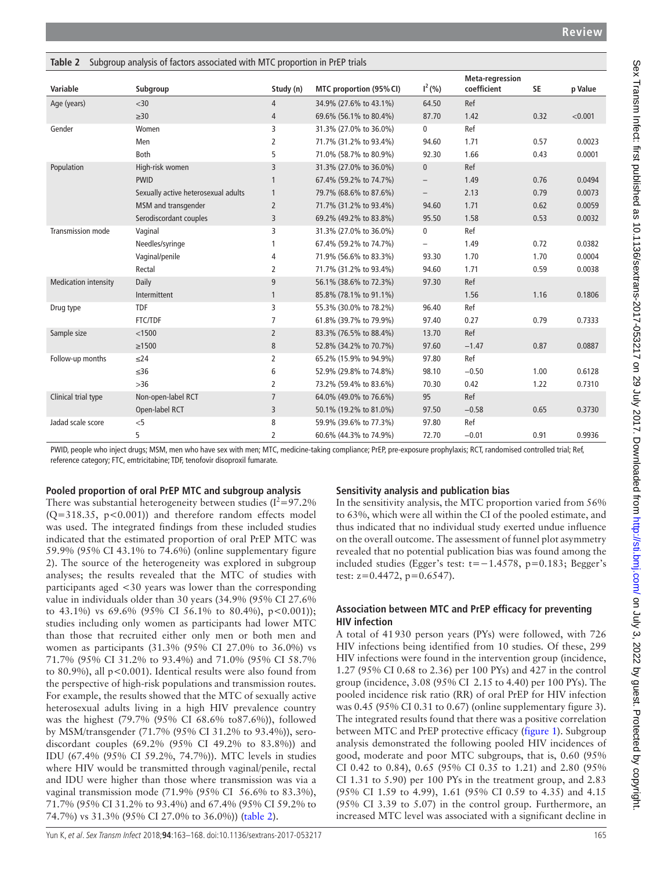| Taple 2<br>Variable         | Subgroup analysis of factors associated with MTC proportion in FIEF that's<br>Subgroup | Study (n)       | MTC proportion (95% CI) | $I^2(% )$                | Meta-regression<br>coefficient | SE   | p Value |
|-----------------------------|----------------------------------------------------------------------------------------|-----------------|-------------------------|--------------------------|--------------------------------|------|---------|
| Age (years)                 | $30$                                                                                   | 4               | 34.9% (27.6% to 43.1%)  | 64.50                    | Ref                            |      |         |
|                             | $\geq 30$                                                                              | 4               | 69.6% (56.1% to 80.4%)  | 87.70                    | 1.42                           | 0.32 | < 0.001 |
| Gender                      | Women                                                                                  | 3               | 31.3% (27.0% to 36.0%)  | $\mathbf 0$              | Ref                            |      |         |
|                             | Men                                                                                    | 2               | 71.7% (31.2% to 93.4%)  | 94.60                    | 1.71                           | 0.57 | 0.0023  |
|                             | <b>Both</b>                                                                            | 5               | 71.0% (58.7% to 80.9%)  | 92.30                    | 1.66                           | 0.43 | 0.0001  |
| Population                  | High-risk women                                                                        | 3               | 31.3% (27.0% to 36.0%)  | $\bf{0}$                 | Ref                            |      |         |
|                             | <b>PWID</b>                                                                            | 1               | 67.4% (59.2% to 74.7%)  |                          | 1.49                           | 0.76 | 0.0494  |
|                             | Sexually active heterosexual adults                                                    | $\mathbf{1}$    | 79.7% (68.6% to 87.6%)  | $\overline{\phantom{a}}$ | 2.13                           | 0.79 | 0.0073  |
|                             | MSM and transgender                                                                    | $\overline{2}$  | 71.7% (31.2% to 93.4%)  | 94.60                    | 1.71                           | 0.62 | 0.0059  |
|                             | Serodiscordant couples                                                                 | 3               | 69.2% (49.2% to 83.8%)  | 95.50                    | 1.58                           | 0.53 | 0.0032  |
| Transmission mode           | Vaginal                                                                                | 3               | 31.3% (27.0% to 36.0%)  | $\pmb{0}$                | Ref                            |      |         |
|                             | Needles/syringe                                                                        | 1               | 67.4% (59.2% to 74.7%)  | $\overline{\phantom{m}}$ | 1.49                           | 0.72 | 0.0382  |
|                             | Vaginal/penile                                                                         | 4               | 71.9% (56.6% to 83.3%)  | 93.30                    | 1.70                           | 1.70 | 0.0004  |
|                             | Rectal                                                                                 | 2               | 71.7% (31.2% to 93.4%)  | 94.60                    | 1.71                           | 0.59 | 0.0038  |
| <b>Medication intensity</b> | Daily                                                                                  | 9               | 56.1% (38.6% to 72.3%)  | 97.30                    | Ref                            |      |         |
|                             | Intermittent                                                                           | $\mathbf{1}$    | 85.8% (78.1% to 91.1%)  |                          | 1.56                           | 1.16 | 0.1806  |
| Drug type                   | <b>TDF</b>                                                                             | 3               | 55.3% (30.0% to 78.2%)  | 96.40                    | Ref                            |      |         |
|                             | <b>FTC/TDF</b>                                                                         | 7               | 61.8% (39.7% to 79.9%)  | 97.40                    | 0.27                           | 0.79 | 0.7333  |
| Sample size                 | < 1500                                                                                 | $\overline{2}$  | 83.3% (76.5% to 88.4%)  | 13.70                    | Ref                            |      |         |
|                             | $\geq$ 1500                                                                            | 8               | 52.8% (34.2% to 70.7%)  | 97.60                    | $-1.47$                        | 0.87 | 0.0887  |
| Follow-up months            | $\leq$ 24                                                                              | 2               | 65.2% (15.9% to 94.9%)  | 97.80                    | Ref                            |      |         |
|                             | $\leq 36$                                                                              | 6               | 52.9% (29.8% to 74.8%)  | 98.10                    | $-0.50$                        | 1.00 | 0.6128  |
|                             | $>36$                                                                                  | 2               | 73.2% (59.4% to 83.6%)  | 70.30                    | 0.42                           | 1.22 | 0.7310  |
| Clinical trial type         | Non-open-label RCT                                                                     | $7\overline{ }$ | 64.0% (49.0% to 76.6%)  | 95                       | Ref                            |      |         |
|                             | Open-label RCT                                                                         | 3               | 50.1% (19.2% to 81.0%)  | 97.50                    | $-0.58$                        | 0.65 | 0.3730  |
| Jadad scale score           | $<$ 5                                                                                  | 8               | 59.9% (39.6% to 77.3%)  | 97.80                    | Ref                            |      |         |
|                             | 5                                                                                      |                 | 60.6% (44.3% to 74.9%)  | 72.70                    | $-0.01$                        | 0.91 | 0.9936  |

<span id="page-2-0"></span>**Table 2** Subgroup analysis of factors associated with MTC proportion in PrEP trials

PWID, people who inject drugs; MSM, men who have sex with men; MTC, medicine-taking compliance; PrEP, pre-exposure prophylaxis; RCT, randomised controlled trial; Ref, reference category; FTC, emtricitabine; TDF, tenofovir disoproxil fumarate.

## **Pooled proportion of oral PrEP MTC and subgroup analysis**

There was substantial heterogeneity between studies ( $I^2$ =97.2%  $(Q=318.35, p<0.001)$  and therefore random effects model was used. The integrated findings from these included studies indicated that the estimated proportion of oral PrEP MTC was 59.9% (95% CI 43.1% to 74.6%) (online [supplementary figure](https://dx.doi.org/10.1136/sextrans-2017-053217)  [2](https://dx.doi.org/10.1136/sextrans-2017-053217)). The source of the heterogeneity was explored in subgroup analyses; the results revealed that the MTC of studies with participants aged <30 years was lower than the corresponding value in individuals older than 30 years (34.9% (95% CI 27.6% to 43.1%) vs 69.6% (95% CI 56.1% to 80.4%), p<0.001)); studies including only women as participants had lower MTC than those that recruited either only men or both men and women as participants (31.3% (95% CI 27.0% to 36.0%) vs 71.7% (95% CI 31.2% to 93.4%) and 71.0% (95% CI 58.7% to 80.9%), all p<0.001). Identical results were also found from the perspective of high-risk populations and transmission routes. For example, the results showed that the MTC of sexually active heterosexual adults living in a high HIV prevalence country was the highest (79.7% (95% CI 68.6% to87.6%)), followed by MSM/transgender (71.7% (95% CI 31.2% to 93.4%)), serodiscordant couples (69.2% (95% CI 49.2% to 83.8%)) and IDU (67.4% (95% CI 59.2%, 74.7%)). MTC levels in studies where HIV would be transmitted through vaginal/penile, rectal and IDU were higher than those where transmission was via a vaginal transmission mode (71.9% (95% CI 56.6% to 83.3%), 71.7% (95% CI 31.2% to 93.4%) and 67.4% (95% CI 59.2% to 74.7%) vs 31.3% (95% CI 27.0% to 36.0%)) ([table](#page-2-0) 2).

# **Sensitivity analysis and publication bias**

In the sensitivity analysis, the MTC proportion varied from 56% to 63%, which were all within the CI of the pooled estimate, and thus indicated that no individual study exerted undue influence on the overall outcome. The assessment of funnel plot asymmetry revealed that no potential publication bias was found among the included studies (Egger's test:  $t=-1.4578$ ,  $p=0.183$ ; Begger's test:  $z=0.4472$ ,  $p=0.6547$ ).

# **Association between MTC and PrEP efficacy for preventing HIV infection**

A total of 41930 person years (PYs) were followed, with 726 HIV infections being identified from 10 studies. Of these, 299 HIV infections were found in the intervention group (incidence, 1.27 (95% CI 0.68 to 2.36) per 100 PYs) and 427 in the control group (incidence, 3.08 (95% CI 2.15 to 4.40) per 100 PYs). The pooled incidence risk ratio (RR) of oral PrEP for HIV infection was 0.45 (95% CI 0.31 to 0.67) (online [supplementary figure 3\)](https://dx.doi.org/10.1136/sextrans-2017-053217). The integrated results found that there was a positive correlation between MTC and PrEP protective efficacy [\(figure](#page-3-0) 1). Subgroup analysis demonstrated the following pooled HIV incidences of good, moderate and poor MTC subgroups, that is, 0.60 (95% CI 0.42 to 0.84), 0.65 (95% CI 0.35 to 1.21) and 2.80 (95% CI 1.31 to 5.90) per 100 PYs in the treatment group, and 2.83 (95% CI 1.59 to 4.99), 1.61 (95% CI 0.59 to 4.35) and 4.15 (95% CI 3.39 to 5.07) in the control group. Furthermore, an increased MTC level was associated with a significant decline in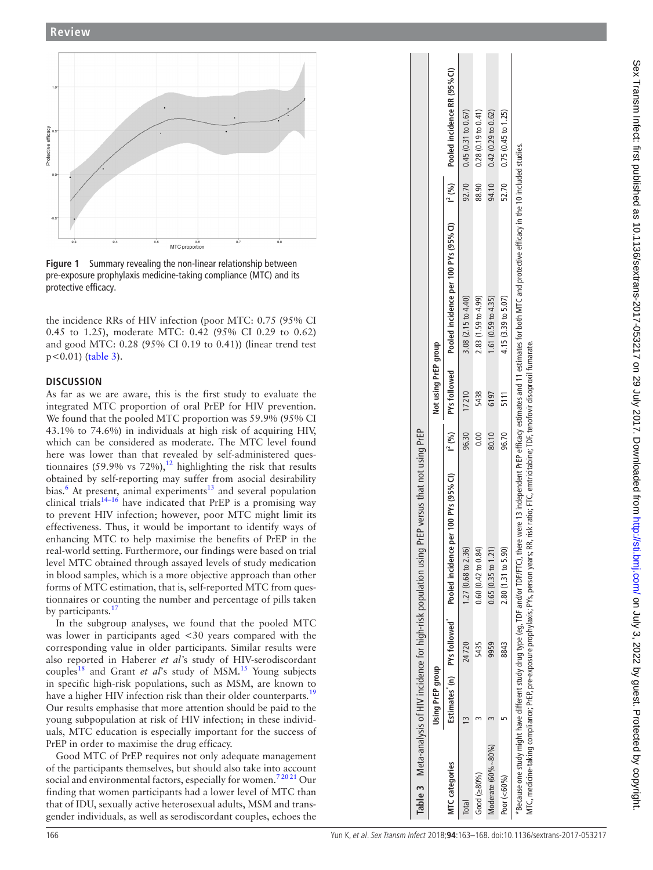

<span id="page-3-0"></span>**Figure 1** Summary revealing the non-linear relationship between pre-exposure prophylaxis medicine-taking compliance (MTC) and its protective efficacy.

# <span id="page-3-1"></span>**D iscussio n**

| Pooled incidence RR (95% CI)<br>0.28(0.19 to 0.41)<br>$0.42~(0.29~to~0.62)$ $0.75~(0.45~to~1.25)$<br>0.45(0.31 to 0.67)<br>Protective efficacy<br>2<br>3 independent PrEP efficacy estimates and 11 estimates for both MTC and protective efficacy in the 10 included studies<br>94.10<br>52.70<br>92.70<br>88.90<br>$I^{2} (9/6)$<br>$-0.5$<br>Pooled incidence per 100 PYs (95% CI)<br>0.3<br>0.4<br>0.5<br>0.7<br>$0.\overline{8}$<br>o.e<br>MTC proportion<br>Figure 1 Summary revealing the non-linear relationship between<br>pre-exposure prophylaxis medicine-taking compliance (MTC) and its<br>protective efficacy.<br>2.83 (1.59 to 4.99)<br>1.61 (0.59 to 4.35)<br>4.15 (3.39 to 5.07)<br>3.08 (2.15 to 4.40)<br>the incidence RRs of HIV infection (poor MTC: 0.75 (95% CI<br>0.45 to 1.25), moderate MTC: 0.42 (95% CI 0.29 to 0.62)<br>and good MTC: 0.28 (95% CI 0.19 to 0.41)) (linear trend test<br>io; FTC, emtricitabine; TDF, tenofovir disoproxil fumarate.<br>Not using PrEP group<br>$p < 0.01$ ) (table 3).<br>PYs followed<br><b>DISCUSSION</b><br>As far as we are aware, this is the first study to evaluate the<br>17210<br>5438<br>6197<br>5111<br>integrated MTC proportion of oral PrEP for HIV prevention.<br>We found that the pooled MTC proportion was 59.9% (95% CI<br>43.1% to 74.6%) in individuals at high risk of acquiring HIV,<br>sus that not using PrEP<br>0.00<br>80.10<br>96.70<br>$I^2(%)$<br>96.30<br>which can be considered as moderate. The MTC level found<br>here was lower than that revealed by self-administered ques-<br>tionnaires (59.9% vs 72%), <sup>12</sup> highlighting the risk that results<br>obtained by self-reporting may suffer from asocial desirability<br>PYs (95%Cl)<br>bias. <sup>6</sup> At present, animal experiments <sup>13</sup> and several population<br>clinical trials <sup>14-16</sup> have indicated that PrEP is a promising way<br>to prevent HIV infection; however, poor MTC might limit its<br>Meta-analysis of HIV incidence for high-risk population using PrEP ver<br>MTC, medicine-taking compliance; PrEP, pre-exposure prophylaxis; PYs, person years; RR, risk rat<br>Pooled incidence per 100<br>*Because one study might have different study drug type (eg, TDF and/or TDF/FTC), there were '<br>effectiveness. Thus, it would be important to identify ways of<br>enhancing MTC to help maximise the benefits of PrEP in the<br>0.65(0.35 to 1.21)<br>0.60(0.42 to 0.84)<br>real-world setting. Furthermore, our findings were based on trial<br>2.80 (1.31 to 5.90)<br>1.27 (0.68 to 2.36)<br>level MTC obtained through assayed levels of study medication<br>in blood samples, which is a more objective approach than other<br>forms of MTC estimation, that is, self-reported MTC from ques-<br>tionnaires or counting the number and percentage of pills taken<br>by participants. <sup>17</sup><br>In the subgroup analyses, we found that the pooled MTC<br>PYs followed<br>was lower in participants aged <30 years compared with the<br>5435<br>9959<br>8843<br>24720<br>corresponding value in older participants. Similar results were<br>also reported in Haberer et al's study of HIV-serodiscordant<br>Using PrEP group<br>couples <sup>18</sup> and Grant <i>et al</i> 's study of MSM. <sup>15</sup> Young subjects<br>$\widehat{\boldsymbol{\epsilon}}$<br>in specific high-risk populations, such as MSM, are known to<br>Estimates <sup>*</sup><br>have a higher HIV infection risk than their older counterparts. <sup>19</sup><br>Our results emphasise that more attention should be paid to the<br>young subpopulation at risk of HIV infection; in these individ-<br>$\sqrt{2}$<br>$\sim$<br>$\tilde{1}$<br>$\sim$<br>uals, MTC education is especially important for the success of<br>PrEP in order to maximise the drug efficacy.<br>Moderate (60%~80%)<br>Good MTC of PrEP requires not only adequate management<br><b>MTC</b> categories<br>of the participants themselves, but should also take into account<br>Good $(280\%)$<br>Poor (<60%)<br>social and environmental factors, especially for women. <sup>72021</sup> Our<br>S<br>finding that women participants had a lower level of MTC than<br><b>Table</b><br>that of IDU, sexually active heterosexual adults, MSM and trans-<br>Total<br>gender individuals, as well as serodiscordant couples, echoes the | <b>Review</b> |  |  |  |  |
|---------------------------------------------------------------------------------------------------------------------------------------------------------------------------------------------------------------------------------------------------------------------------------------------------------------------------------------------------------------------------------------------------------------------------------------------------------------------------------------------------------------------------------------------------------------------------------------------------------------------------------------------------------------------------------------------------------------------------------------------------------------------------------------------------------------------------------------------------------------------------------------------------------------------------------------------------------------------------------------------------------------------------------------------------------------------------------------------------------------------------------------------------------------------------------------------------------------------------------------------------------------------------------------------------------------------------------------------------------------------------------------------------------------------------------------------------------------------------------------------------------------------------------------------------------------------------------------------------------------------------------------------------------------------------------------------------------------------------------------------------------------------------------------------------------------------------------------------------------------------------------------------------------------------------------------------------------------------------------------------------------------------------------------------------------------------------------------------------------------------------------------------------------------------------------------------------------------------------------------------------------------------------------------------------------------------------------------------------------------------------------------------------------------------------------------------------------------------------------------------------------------------------------------------------------------------------------------------------------------------------------------------------------------------------------------------------------------------------------------------------------------------------------------------------------------------------------------------------------------------------------------------------------------------------------------------------------------------------------------------------------------------------------------------------------------------------------------------------------------------------------------------------------------------------------------------------------------------------------------------------------------------------------------------------------------------------------------------------------------------------------------------------------------------------------------------------------------------------------------------------------------------------------------------------------------------------------------------------------------------------------------------------------------------------------------------------------------------------------------------------------------------------------------------------------------------------------------------------------------------------------------------------------------------------------------------------------------------------------------------------------------------------------------------------------------------------------------------------------------------------------------------------------------------------------------------------------------------------------------------------------------------------------------------------------------------------------------------------------------------------------------------------------------|---------------|--|--|--|--|
|                                                                                                                                                                                                                                                                                                                                                                                                                                                                                                                                                                                                                                                                                                                                                                                                                                                                                                                                                                                                                                                                                                                                                                                                                                                                                                                                                                                                                                                                                                                                                                                                                                                                                                                                                                                                                                                                                                                                                                                                                                                                                                                                                                                                                                                                                                                                                                                                                                                                                                                                                                                                                                                                                                                                                                                                                                                                                                                                                                                                                                                                                                                                                                                                                                                                                                                                                                                                                                                                                                                                                                                                                                                                                                                                                                                                                                                                                                                                                                                                                                                                                                                                                                                                                                                                                                                                                                                                               |               |  |  |  |  |
|                                                                                                                                                                                                                                                                                                                                                                                                                                                                                                                                                                                                                                                                                                                                                                                                                                                                                                                                                                                                                                                                                                                                                                                                                                                                                                                                                                                                                                                                                                                                                                                                                                                                                                                                                                                                                                                                                                                                                                                                                                                                                                                                                                                                                                                                                                                                                                                                                                                                                                                                                                                                                                                                                                                                                                                                                                                                                                                                                                                                                                                                                                                                                                                                                                                                                                                                                                                                                                                                                                                                                                                                                                                                                                                                                                                                                                                                                                                                                                                                                                                                                                                                                                                                                                                                                                                                                                                                               |               |  |  |  |  |
|                                                                                                                                                                                                                                                                                                                                                                                                                                                                                                                                                                                                                                                                                                                                                                                                                                                                                                                                                                                                                                                                                                                                                                                                                                                                                                                                                                                                                                                                                                                                                                                                                                                                                                                                                                                                                                                                                                                                                                                                                                                                                                                                                                                                                                                                                                                                                                                                                                                                                                                                                                                                                                                                                                                                                                                                                                                                                                                                                                                                                                                                                                                                                                                                                                                                                                                                                                                                                                                                                                                                                                                                                                                                                                                                                                                                                                                                                                                                                                                                                                                                                                                                                                                                                                                                                                                                                                                                               |               |  |  |  |  |
|                                                                                                                                                                                                                                                                                                                                                                                                                                                                                                                                                                                                                                                                                                                                                                                                                                                                                                                                                                                                                                                                                                                                                                                                                                                                                                                                                                                                                                                                                                                                                                                                                                                                                                                                                                                                                                                                                                                                                                                                                                                                                                                                                                                                                                                                                                                                                                                                                                                                                                                                                                                                                                                                                                                                                                                                                                                                                                                                                                                                                                                                                                                                                                                                                                                                                                                                                                                                                                                                                                                                                                                                                                                                                                                                                                                                                                                                                                                                                                                                                                                                                                                                                                                                                                                                                                                                                                                                               |               |  |  |  |  |
|                                                                                                                                                                                                                                                                                                                                                                                                                                                                                                                                                                                                                                                                                                                                                                                                                                                                                                                                                                                                                                                                                                                                                                                                                                                                                                                                                                                                                                                                                                                                                                                                                                                                                                                                                                                                                                                                                                                                                                                                                                                                                                                                                                                                                                                                                                                                                                                                                                                                                                                                                                                                                                                                                                                                                                                                                                                                                                                                                                                                                                                                                                                                                                                                                                                                                                                                                                                                                                                                                                                                                                                                                                                                                                                                                                                                                                                                                                                                                                                                                                                                                                                                                                                                                                                                                                                                                                                                               |               |  |  |  |  |
|                                                                                                                                                                                                                                                                                                                                                                                                                                                                                                                                                                                                                                                                                                                                                                                                                                                                                                                                                                                                                                                                                                                                                                                                                                                                                                                                                                                                                                                                                                                                                                                                                                                                                                                                                                                                                                                                                                                                                                                                                                                                                                                                                                                                                                                                                                                                                                                                                                                                                                                                                                                                                                                                                                                                                                                                                                                                                                                                                                                                                                                                                                                                                                                                                                                                                                                                                                                                                                                                                                                                                                                                                                                                                                                                                                                                                                                                                                                                                                                                                                                                                                                                                                                                                                                                                                                                                                                                               |               |  |  |  |  |
|                                                                                                                                                                                                                                                                                                                                                                                                                                                                                                                                                                                                                                                                                                                                                                                                                                                                                                                                                                                                                                                                                                                                                                                                                                                                                                                                                                                                                                                                                                                                                                                                                                                                                                                                                                                                                                                                                                                                                                                                                                                                                                                                                                                                                                                                                                                                                                                                                                                                                                                                                                                                                                                                                                                                                                                                                                                                                                                                                                                                                                                                                                                                                                                                                                                                                                                                                                                                                                                                                                                                                                                                                                                                                                                                                                                                                                                                                                                                                                                                                                                                                                                                                                                                                                                                                                                                                                                                               |               |  |  |  |  |
|                                                                                                                                                                                                                                                                                                                                                                                                                                                                                                                                                                                                                                                                                                                                                                                                                                                                                                                                                                                                                                                                                                                                                                                                                                                                                                                                                                                                                                                                                                                                                                                                                                                                                                                                                                                                                                                                                                                                                                                                                                                                                                                                                                                                                                                                                                                                                                                                                                                                                                                                                                                                                                                                                                                                                                                                                                                                                                                                                                                                                                                                                                                                                                                                                                                                                                                                                                                                                                                                                                                                                                                                                                                                                                                                                                                                                                                                                                                                                                                                                                                                                                                                                                                                                                                                                                                                                                                                               |               |  |  |  |  |
|                                                                                                                                                                                                                                                                                                                                                                                                                                                                                                                                                                                                                                                                                                                                                                                                                                                                                                                                                                                                                                                                                                                                                                                                                                                                                                                                                                                                                                                                                                                                                                                                                                                                                                                                                                                                                                                                                                                                                                                                                                                                                                                                                                                                                                                                                                                                                                                                                                                                                                                                                                                                                                                                                                                                                                                                                                                                                                                                                                                                                                                                                                                                                                                                                                                                                                                                                                                                                                                                                                                                                                                                                                                                                                                                                                                                                                                                                                                                                                                                                                                                                                                                                                                                                                                                                                                                                                                                               |               |  |  |  |  |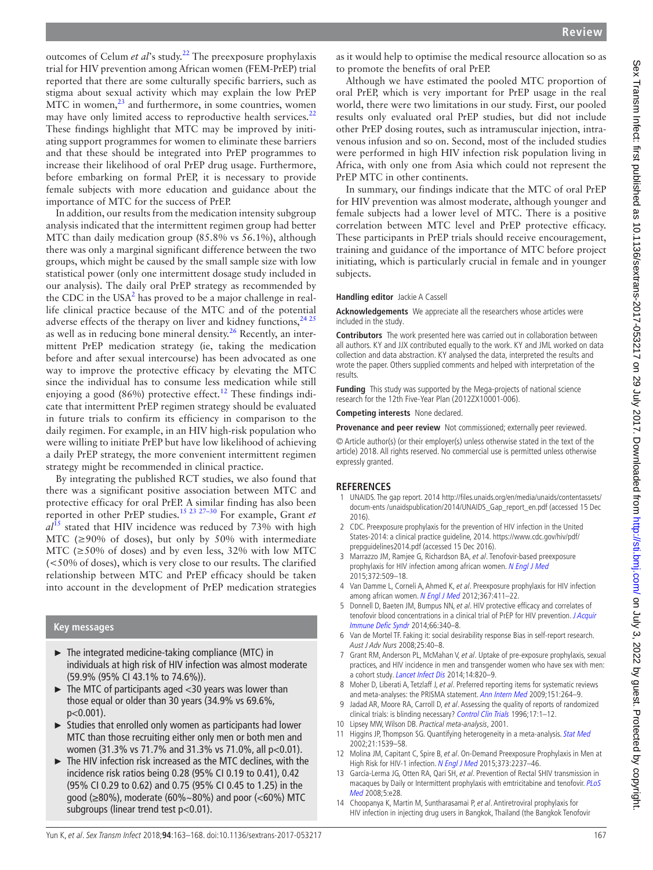outcomes of Celum *et al*'s study.[22](#page-5-9) The preexposure prophylaxis trial for HIV prevention among African women (FEM-PrEP) trial reported that there are some culturally specific barriers, such as stigma about sexual activity which may explain the low PrEP  $\overline{MTC}$  in women, $^{23}$  and furthermore, in some countries, women may have only limited access to reproductive health services.<sup>[22](#page-5-9)</sup> These findings highlight that MTC may be improved by initiating support programmes for women to eliminate these barriers and that these should be integrated into PrEP programmes to increase their likelihood of oral PrEP drug usage. Furthermore, before embarking on formal PrEP, it is necessary to provide female subjects with more education and guidance about the importance of MTC for the success of PrEP.

In addition, our results from the medication intensity subgroup analysis indicated that the intermittent regimen group had better MTC than daily medication group (85.8% vs 56.1%), although there was only a marginal significant difference between the two groups, which might be caused by the small sample size with low statistical power (only one intermittent dosage study included in our analysis). The daily oral PrEP strategy as recommended by the CDC in the USA $^2$  $^2$  has proved to be a major challenge in reallife clinical practice because of the MTC and of the potential adverse effects of the therapy on liver and kidney functions,  $2425$ as well as in reducing bone mineral density.<sup>26</sup> Recently, an intermittent PrEP medication strategy (ie, taking the medication before and after sexual intercourse) has been advocated as one way to improve the protective efficacy by elevating the MTC since the individual has to consume less medication while still enjoying a good (86%) protective effect.<sup>12</sup> These findings indicate that intermittent PrEP regimen strategy should be evaluated in future trials to confirm its efficiency in comparison to the daily regimen. For example, in an HIV high-risk population who were willing to initiate PrEP but have low likelihood of achieving a daily PrEP strategy, the more convenient intermittent regimen strategy might be recommended in clinical practice.

By integrating the published RCT studies, we also found that there was a significant positive association between MTC and protective efficacy for oral PrEP. A similar finding has also been reported in other PrEP studies.[15 23 27–30](#page-5-0) For example, Grant *et al*[15](#page-5-0) stated that HIV incidence was reduced by 73% with high MTC ( $\geq$ 90% of doses), but only by 50% with intermediate MTC ( $\geq$ 50% of doses) and by even less, 32% with low MTC (<50% of doses), which is very close to our results. The clarified relationship between MTC and PrEP efficacy should be taken into account in the development of PrEP medication strategies

#### **Key messages**

- ► The integrated medicine-taking compliance (MTC) in individuals at high risk of HIV infection was almost moderate (59.9% (95% CI 43.1% to 74.6%)).
- ► The MTC of participants aged <30 years was lower than those equal or older than 30 years (34.9% vs 69.6%, p<0.001).
- ► Studies that enrolled only women as participants had lower MTC than those recruiting either only men or both men and women (31.3% vs 71.7% and 31.3% vs 71.0%, all p<0.01).
- ► The HIV infection risk increased as the MTC declines, with the incidence risk ratios being 0.28 (95% CI 0.19 to 0.41), 0.42 (95% CI 0.29 to 0.62) and 0.75 (95% CI 0.45 to 1.25) in the good (≥80%), moderate (60%~80%) and poor (<60%) MTC subgroups (linear trend test p<0.01).

Although we have estimated the pooled MTC proportion of oral PrEP, which is very important for PrEP usage in the real world, there were two limitations in our study. First, our pooled results only evaluated oral PrEP studies, but did not include other PrEP dosing routes, such as intramuscular injection, intravenous infusion and so on. Second, most of the included studies were performed in high HIV infection risk population living in Africa, with only one from Asia which could not represent the PrEP MTC in other continents.

In summary, our findings indicate that the MTC of oral PrEP for HIV prevention was almost moderate, although younger and female subjects had a lower level of MTC. There is a positive correlation between MTC level and PrEP protective efficacy. These participants in PrEP trials should receive encouragement, training and guidance of the importance of MTC before project initiating, which is particularly crucial in female and in younger subjects.

#### **Handling editor** Jackie A Cassell

**Acknowledgements** We appreciate all the researchers whose articles were included in the study.

**Contributors** The work presented here was carried out in collaboration between all authors. KY and JJX contributed equally to the work. KY and JML worked on data collection and data abstraction. KY analysed the data, interpreted the results and wrote the paper. Others supplied comments and helped with interpretation of the results.

**Funding** This study was supported by the Mega-projects of national science research for the 12th Five-Year Plan (2012ZX10001-006).

**Competing interests** None declared.

**Provenance and peer review** Not commissioned; externally peer reviewed.

© Article author(s) (or their employer(s) unless otherwise stated in the text of the article) 2018. All rights reserved. No commercial use is permitted unless otherwise expressly granted.

#### **References**

- <span id="page-4-0"></span>1 UNAIDS. The gap report. 2014 [http://files.unaids.org/en/media/unaids/contentassets/](http://files.unaids.org/en/media/unaids/contentassets/docum-ents /unaidspublication/2014/UNAIDS_Gap_report_en.pdf) [docum-ents /unaidspublication/2014/UNAIDS\\_Gap\\_report\\_en.pdf](http://files.unaids.org/en/media/unaids/contentassets/docum-ents /unaidspublication/2014/UNAIDS_Gap_report_en.pdf) (accessed 15 Dec 2016).
- <span id="page-4-1"></span>2 CDC. Preexposure prophylaxis for the prevention of HIV infection in the United States-2014: a clinical practice guideline, 2014. [https://www.cdc.gov/hiv/pdf/](https://www.cdc.gov/hiv/pdf/prepguidelines2014.pdf) [prepguidelines2014.pdf](https://www.cdc.gov/hiv/pdf/prepguidelines2014.pdf) (accessed 15 Dec 2016).
- <span id="page-4-2"></span>3 Marrazzo JM, Ramjee G, Richardson BA, et al. Tenofovir-based preexposure prophylaxis for HIV infection among african women. [N Engl J Med](http://dx.doi.org/10.1056/NEJMoa1402269) 2015;372:509–18.
- <span id="page-4-5"></span>4 Van Damme L, Corneli A, Ahmed K, et al. Preexposure prophylaxis for HIV infection among african women. [N Engl J Med](http://dx.doi.org/10.1056/NEJMoa1202614) 2012;367:411-22.
- <span id="page-4-3"></span>5 Donnell D, Baeten JM, Bumpus NN, et al. HIV protective efficacy and correlates of tenofovir blood concentrations in a clinical trial of PrEP for HIV prevention. J Acquir [Immune Defic Syndr](http://dx.doi.org/10.1097/QAI.0000000000000172) 2014;66:340–8.
- <span id="page-4-4"></span>6 Van de Mortel TF. Faking it: social desirability response Bias in self-report research. Aust J Adv Nurs 2008;25:40–8.
- <span id="page-4-6"></span>7 Grant RM, Anderson PL, McMahan V, et al. Uptake of pre-exposure prophylaxis, sexual practices, and HIV incidence in men and transgender women who have sex with men: a cohort study. [Lancet Infect Dis](http://dx.doi.org/10.1016/S1473-3099(14)70847-3) 2014;14:820-9.
- <span id="page-4-7"></span>8 Moher D, Liberati A, Tetzlaff J, et al. Preferred reporting items for systematic reviews and meta-analyses: the PRISMA statement. [Ann Intern Med](http://dx.doi.org/10.7326/0003-4819-151-4-200908180-00135) 2009;151:264-9.
- <span id="page-4-8"></span>9 Jadad AR, Moore RA, Carroll D, et al. Assessing the quality of reports of randomized clinical trials: is blinding necessary? [Control Clin Trials](http://dx.doi.org/10.1016/0197-2456(95)00134-4) 1996;17:1-12.
- <span id="page-4-9"></span>10 Lipsey MW, Wilson DB. Practical meta-analysis, 2001.
- <span id="page-4-10"></span>11 Higgins JP, Thompson SG. Quantifying heterogeneity in a meta-analysis. [Stat Med](http://dx.doi.org/10.1002/sim.1186) 2002;21:1539–58. 12 Molina JM, Capitant C, Spire B, et al. On-Demand Preexposure Prophylaxis in Men at
- <span id="page-4-12"></span>High Risk for HIV-1 infection. [N Engl J Med](http://dx.doi.org/10.1056/NEJMoa1506273) 2015;373:2237–46.
- <span id="page-4-13"></span>13 García-Lerma JG, Otten RA, Qari SH, et al. Prevention of Rectal SHIV transmission in macaques by Daily or Intermittent prophylaxis with emtricitabine and tenofovir. PLoS [Med](http://dx.doi.org/10.1371/journal.pmed.0050028) 2008;5:e28.
- <span id="page-4-11"></span>14 Choopanya K, Martin M, Suntharasamai P, et al. Antiretroviral prophylaxis for HIV infection in injecting drug users in Bangkok, Thailand (the Bangkok Tenofovir